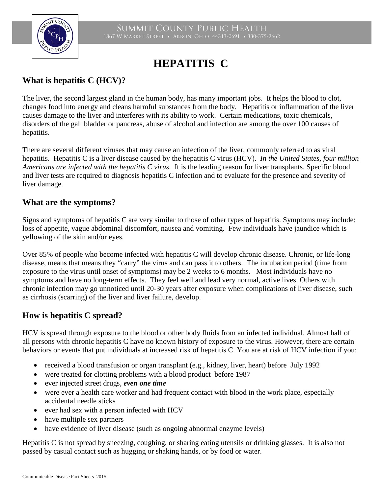

# **HEPATITIS C**

## **What is hepatitis C (HCV)?**

The liver, the second largest gland in the human body, has many important jobs. It helps the blood to clot, changes food into energy and cleans harmful substances from the body. Hepatitis or inflammation of the liver causes damage to the liver and interferes with its ability to work. Certain medications, toxic chemicals, disorders of the gall bladder or pancreas, abuse of alcohol and infection are among the over 100 causes of hepatitis.

There are several different viruses that may cause an infection of the liver, commonly referred to as viral hepatitis. Hepatitis C is a liver disease caused by the hepatitis C virus (HCV). *In the United States, four million Americans are infected with the hepatitis C virus*. It is the leading reason for liver transplants. Specific blood and liver tests are required to diagnosis hepatitis C infection and to evaluate for the presence and severity of liver damage.

#### **What are the symptoms?**

Signs and symptoms of hepatitis C are very similar to those of other types of hepatitis. Symptoms may include: loss of appetite, vague abdominal discomfort, nausea and vomiting. Few individuals have jaundice which is yellowing of the skin and/or eyes.

Over 85% of people who become infected with hepatitis C will develop chronic disease. Chronic, or life-long disease, means that means they "carry" the virus and can pass it to others. The incubation period (time from exposure to the virus until onset of symptoms) may be 2 weeks to 6 months. Most individuals have no symptoms and have no long-term effects. They feel well and lead very normal, active lives. Others with chronic infection may go unnoticed until 20-30 years after exposure when complications of liver disease, such as cirrhosis (scarring) of the liver and liver failure, develop.

## **How is hepatitis C spread?**

HCV is spread through exposure to the blood or other body fluids from an infected individual. Almost half of all persons with chronic hepatitis C have no known history of exposure to the virus. However, there are certain behaviors or events that put individuals at increased risk of hepatitis C. You are at risk of HCV infection if you:

- received a blood transfusion or organ transplant (e.g., kidney, liver, heart) before July 1992
- were treated for clotting problems with a blood product before 1987
- ever injected street drugs, *even one time*
- were ever a health care worker and had frequent contact with blood in the work place, especially accidental needle sticks
- ever had sex with a person infected with HCV
- have multiple sex partners
- have evidence of liver disease (such as ongoing abnormal enzyme levels)

Hepatitis C is not spread by sneezing, coughing, or sharing eating utensils or drinking glasses. It is also not passed by casual contact such as hugging or shaking hands, or by food or water.